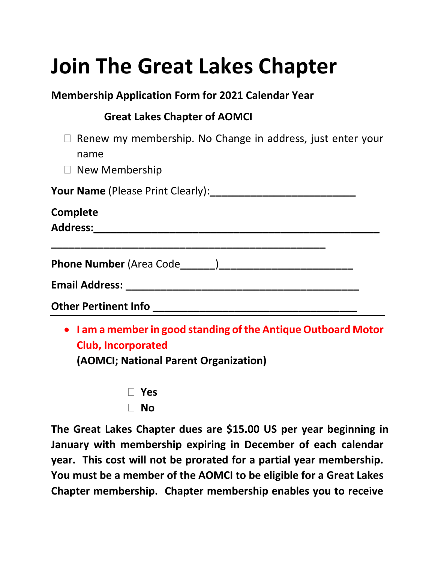# **Join The Great Lakes Chapter**

#### **Membership Application Form for 2021 Calendar Year**

## **Great Lakes Chapter of AOMCI**

- $\Box$  Renew my membership. No Change in address, just enter your name
- □ New Membership

**Your Name** (Please Print Clearly):

| Complete                        |  |
|---------------------------------|--|
| <b>Address:</b>                 |  |
|                                 |  |
| <b>Phone Number (Area Code)</b> |  |
| <b>Email Address:</b>           |  |
| <b>Other Pertinent Info</b>     |  |

• **I am a member in good standing of the Antique Outboard Motor Club, Incorporated**

**(AOMCI; National Parent Organization)**

| Yes       |
|-----------|
| <b>No</b> |

**The Great Lakes Chapter dues are \$15.00 US per year beginning in January with membership expiring in December of each calendar year. This cost will not be prorated for a partial year membership. You must be a member of the AOMCI to be eligible for a Great Lakes Chapter membership. Chapter membership enables you to receive**